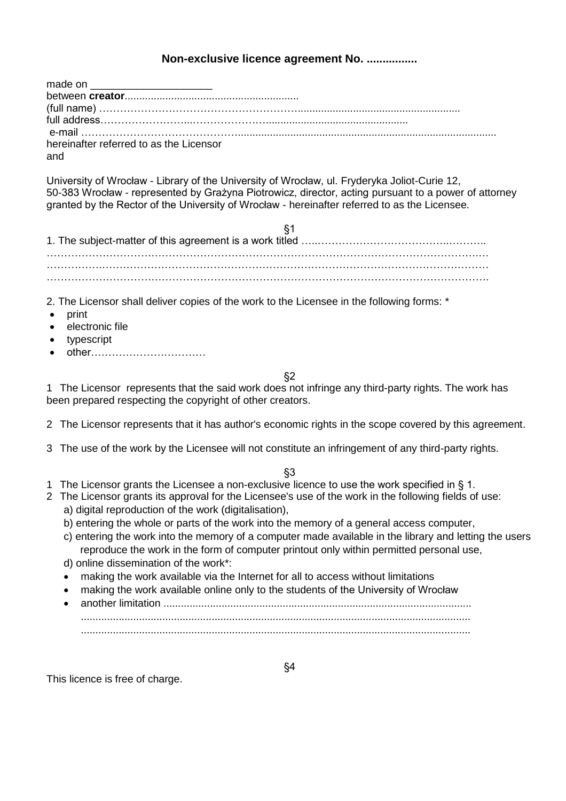# **Non-exclusive licence agreement No. ................**

| made on _________________________       |  |
|-----------------------------------------|--|
|                                         |  |
|                                         |  |
|                                         |  |
|                                         |  |
| hereinafter referred to as the Licensor |  |
| and                                     |  |

University of Wrocław - Library of the University of Wrocław, ul. Fryderyka Joliot-Curie 12, 50-383 Wrocław - represented by Grażyna Piotrowicz, director, acting pursuant to a power of attorney granted by the Rector of the University of Wrocław - hereinafter referred to as the Licensee.

2. The Licensor shall deliver copies of the work to the Licensee in the following forms: \*

- print
- electronic file
- typescript
- other……………………………

§2

1 The Licensor represents that the said work does not infringe any third-party rights. The work has been prepared respecting the copyright of other creators.

- 2 The Licensor represents that it has author's economic rights in the scope covered by this agreement.
- 3 The use of the work by the Licensee will not constitute an infringement of any third-party rights.

### §3

- 1 The Licensor grants the Licensee a non-exclusive licence to use the work specified in § 1.
- 2 The Licensor grants its approval for the Licensee's use of the work in the following fields of use: a) digital reproduction of the work (digitalisation),
	- b) entering the whole or parts of the work into the memory of a general access computer,
	- c) entering the work into the memory of a computer made available in the library and letting the users reproduce the work in the form of computer printout only within permitted personal use,
	- d) online dissemination of the work\*:
	- making the work available via the Internet for all to access without limitations
	- making the work available online only to the students of the University of Wrocław
	- another limitation .......................................................................................................... ...................................................................................................................................... ......................................................................................................................................

This licence is free of charge.